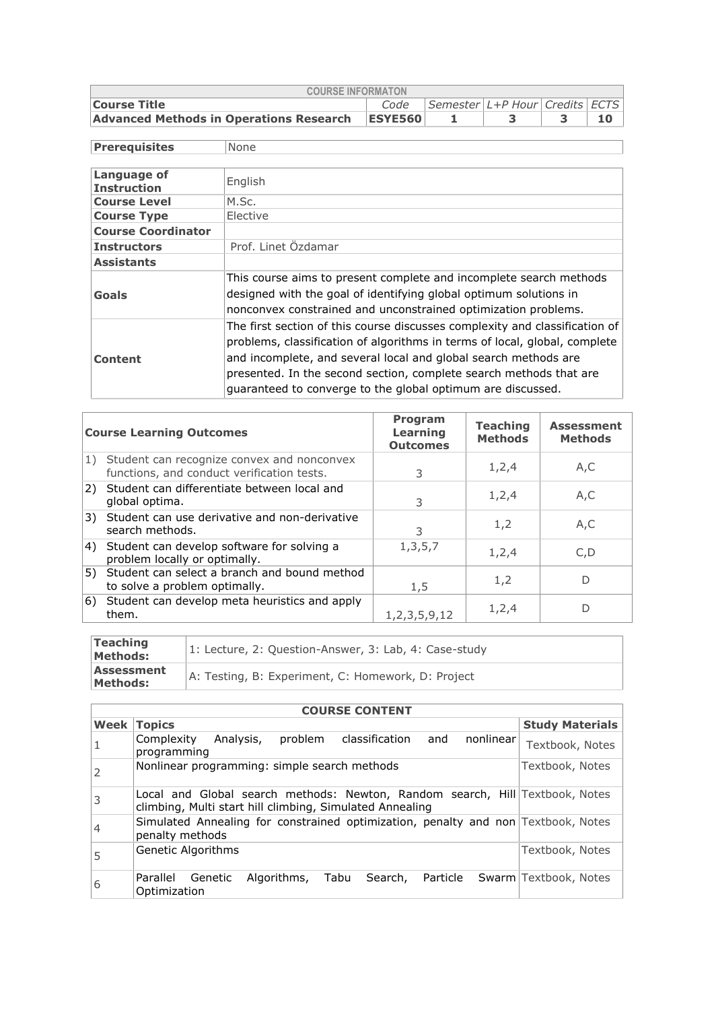| <b>COURSE INFORMATON</b>                                             |                |  |  |  |  |  |  |  |  |  |
|----------------------------------------------------------------------|----------------|--|--|--|--|--|--|--|--|--|
| Code   Semester   L+P Hour   Credits   ECTS  <br><b>Course Title</b> |                |  |  |  |  |  |  |  |  |  |
| Advanced Methods in Operations Research                              | <b>ESYE560</b> |  |  |  |  |  |  |  |  |  |

| <b>Prerequisites</b>              | None                                                                                                                                                                                                                                                                                                                                                              |
|-----------------------------------|-------------------------------------------------------------------------------------------------------------------------------------------------------------------------------------------------------------------------------------------------------------------------------------------------------------------------------------------------------------------|
|                                   |                                                                                                                                                                                                                                                                                                                                                                   |
| Language of<br><b>Instruction</b> | English                                                                                                                                                                                                                                                                                                                                                           |
| <b>Course Level</b>               | M.Sc.                                                                                                                                                                                                                                                                                                                                                             |
| <b>Course Type</b>                | Elective                                                                                                                                                                                                                                                                                                                                                          |
| <b>Course Coordinator</b>         |                                                                                                                                                                                                                                                                                                                                                                   |
| <b>Instructors</b>                | Prof. Linet Özdamar                                                                                                                                                                                                                                                                                                                                               |
| <b>Assistants</b>                 |                                                                                                                                                                                                                                                                                                                                                                   |
| Goals                             | This course aims to present complete and incomplete search methods<br>designed with the goal of identifying global optimum solutions in<br>nonconvex constrained and unconstrained optimization problems.                                                                                                                                                         |
| <b>Content</b>                    | The first section of this course discusses complexity and classification of<br>problems, classification of algorithms in terms of local, global, complete<br>and incomplete, and several local and global search methods are<br>presented. In the second section, complete search methods that are<br>guaranteed to converge to the global optimum are discussed. |

|    | <b>Course Learning Outcomes</b>                                                          | <b>Program</b><br><b>Learning</b><br><b>Outcomes</b> | <b>Teaching</b><br><b>Methods</b> | <b>Assessment</b><br><b>Methods</b> |
|----|------------------------------------------------------------------------------------------|------------------------------------------------------|-----------------------------------|-------------------------------------|
| 1) | Student can recognize convex and nonconvex<br>functions, and conduct verification tests. | 3                                                    | 1,2,4                             | A,C                                 |
|    | 2) Student can differentiate between local and<br>global optima.                         | 3                                                    | 1,2,4                             | A, C                                |
|    | 3) Student can use derivative and non-derivative<br>search methods.                      | 3                                                    | 1,2                               | A, C                                |
|    | 4) Student can develop software for solving a<br>problem locally or optimally.           | 1, 3, 5, 7                                           | 1,2,4                             | C, D                                |
| 5) | Student can select a branch and bound method<br>to solve a problem optimally.            | 1,5                                                  | 1,2                               | D                                   |
| 6) | Student can develop meta heuristics and apply<br>them.                                   | 1, 2, 3, 5, 9, 12                                    | 1,2,4                             | D                                   |

| Teaching<br><b>Methods:</b>          | 1: Lecture, 2: Question-Answer, 3: Lab, 4: Case-study |
|--------------------------------------|-------------------------------------------------------|
| <b>Assessment</b><br><b>Methods:</b> | A: Testing, B: Experiment, C: Homework, D: Project    |

<u> 1980 - Johann Barn, mars ann an t-Amhain Aonaichte ann an t-Amhain Aonaichte ann an t-Amhain Aonaichte ann an</u>

|      | <b>COURSE CONTENT</b>                                                                                                                    |                        |  |  |  |  |  |  |  |  |
|------|------------------------------------------------------------------------------------------------------------------------------------------|------------------------|--|--|--|--|--|--|--|--|
| Week | <b>Topics</b>                                                                                                                            | <b>Study Materials</b> |  |  |  |  |  |  |  |  |
|      | Analysis,<br>problem<br>classification<br>nonlinear<br>Complexity<br>and<br>programming                                                  | Textbook, Notes        |  |  |  |  |  |  |  |  |
| 2    | Nonlinear programming: simple search methods                                                                                             | Textbook, Notes        |  |  |  |  |  |  |  |  |
| 3    | Local and Global search methods: Newton, Random search, Hill Textbook, Notes<br>climbing, Multi start hill climbing, Simulated Annealing |                        |  |  |  |  |  |  |  |  |
| 4    | Simulated Annealing for constrained optimization, penalty and non Textbook, Notes<br>penalty methods                                     |                        |  |  |  |  |  |  |  |  |
| 5    | Genetic Algorithms                                                                                                                       | Textbook, Notes        |  |  |  |  |  |  |  |  |
| 6    | Parallel<br>Algorithms,<br>Search, Particle<br>Tabu<br>Genetic<br>Optimization                                                           | Swarm Textbook, Notes  |  |  |  |  |  |  |  |  |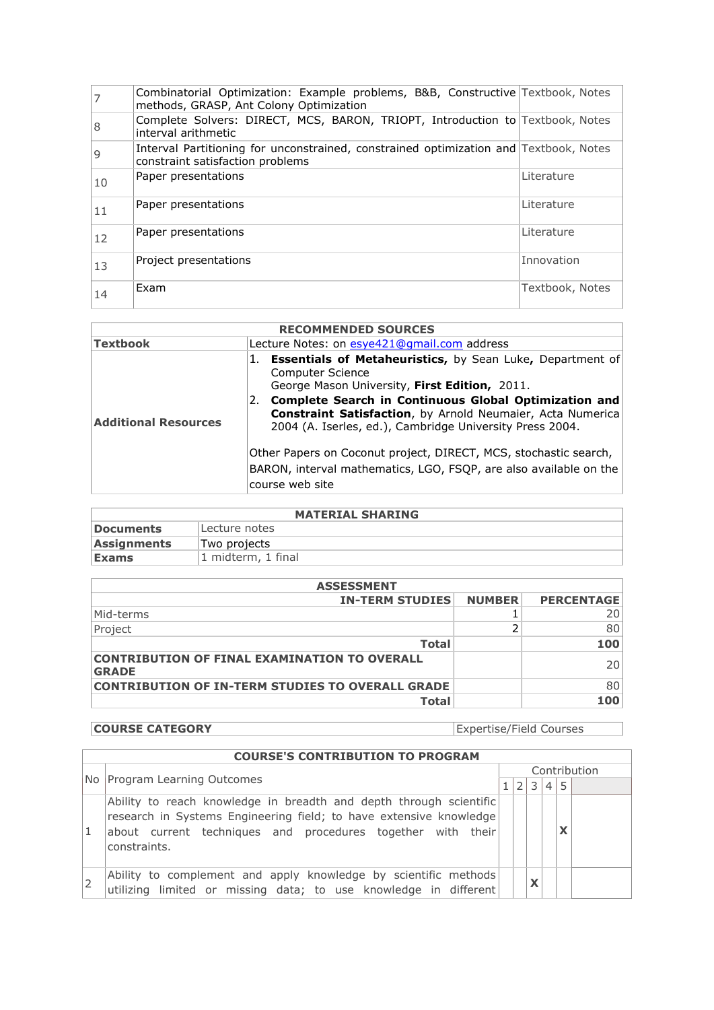|    | Combinatorial Optimization: Example problems, B&B, Constructive Textbook, Notes<br>methods, GRASP, Ant Colony Optimization |                 |
|----|----------------------------------------------------------------------------------------------------------------------------|-----------------|
| 8  | Complete Solvers: DIRECT, MCS, BARON, TRIOPT, Introduction to Textbook, Notes<br>interval arithmetic                       |                 |
| 9  | Interval Partitioning for unconstrained, constrained optimization and Textbook, Notes<br>constraint satisfaction problems  |                 |
| 10 | Paper presentations                                                                                                        | Literature      |
| 11 | Paper presentations                                                                                                        | Literature      |
| 12 | Paper presentations                                                                                                        | Literature      |
| 13 | Project presentations                                                                                                      | Innovation      |
| 14 | Exam                                                                                                                       | Textbook, Notes |

| <b>RECOMMENDED SOURCES</b>  |                                                                                                                                                                                                                                                                                                                                                                                                                                                                                                     |  |  |  |  |  |
|-----------------------------|-----------------------------------------------------------------------------------------------------------------------------------------------------------------------------------------------------------------------------------------------------------------------------------------------------------------------------------------------------------------------------------------------------------------------------------------------------------------------------------------------------|--|--|--|--|--|
| <b>Textbook</b>             | Lecture Notes: on esye421@qmail.com address                                                                                                                                                                                                                                                                                                                                                                                                                                                         |  |  |  |  |  |
| <b>Additional Resources</b> | <b>Essentials of Metaheuristics, by Sean Luke, Department of</b><br><b>Computer Science</b><br>George Mason University, First Edition, 2011.<br>Complete Search in Continuous Global Optimization and<br><b>Constraint Satisfaction</b> , by Arnold Neumaier, Acta Numerica<br>2004 (A. Iserles, ed.), Cambridge University Press 2004.<br>Other Papers on Coconut project, DIRECT, MCS, stochastic search,<br>BARON, interval mathematics, LGO, FSQP, are also available on the<br>course web site |  |  |  |  |  |

| <b>MATERIAL SHARING</b> |                    |  |  |  |  |
|-------------------------|--------------------|--|--|--|--|
| Documents               | Lecture notes      |  |  |  |  |
| <b>Assignments</b>      | Two projects       |  |  |  |  |
| <b>Exams</b>            | 1 midterm, 1 final |  |  |  |  |

| <b>ASSESSMENT</b>                                                   |               |                   |  |  |
|---------------------------------------------------------------------|---------------|-------------------|--|--|
| <b>IN-TERM STUDIES</b>                                              | <b>NUMBER</b> | <b>PERCENTAGE</b> |  |  |
| Mid-terms                                                           |               | 20                |  |  |
| Project                                                             |               | 80                |  |  |
| <b>Total</b>                                                        |               | 100               |  |  |
| <b>CONTRIBUTION OF FINAL EXAMINATION TO OVERALL</b><br><b>GRADE</b> |               | 20                |  |  |
| <b>CONTRIBUTION OF IN-TERM STUDIES TO OVERALL GRADE</b>             |               | 80                |  |  |
| <b>Total</b>                                                        |               | 100               |  |  |

**COURSE CATEGORY** Expertise/Field Courses

| <b>COURSE'S CONTRIBUTION TO PROGRAM</b>                                                                                                                                                                                 |  |  |              |                |   |              |
|-------------------------------------------------------------------------------------------------------------------------------------------------------------------------------------------------------------------------|--|--|--------------|----------------|---|--------------|
|                                                                                                                                                                                                                         |  |  |              |                |   | Contribution |
| No Program Learning Outcomes                                                                                                                                                                                            |  |  | 3            | $\overline{4}$ | 5 |              |
| Ability to reach knowledge in breadth and depth through scientific<br>research in Systems Engineering field; to have extensive knowledge<br>about current techniques and procedures together with their<br>constraints. |  |  |              |                | x |              |
| Ability to complement and apply knowledge by scientific methods<br>utilizing limited or missing data; to use knowledge in different                                                                                     |  |  | $\checkmark$ |                |   |              |